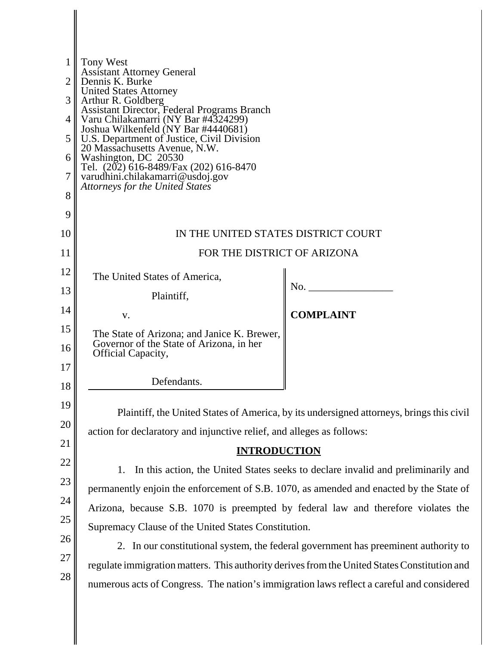| 1 <sup>1</sup><br>2 <sub>l</sub><br>3 <sup>1</sup><br>4 | <b>Tony West</b><br><b>Assistant Attorney General</b><br>Dennis K. Burke<br><b>United States Attorney</b><br>Arthur R. Goldberg<br>Assistant Director, Federal Programs Branch<br>Varu Chilakamarri (NY Bar #4324299) |                  |
|---------------------------------------------------------|-----------------------------------------------------------------------------------------------------------------------------------------------------------------------------------------------------------------------|------------------|
| 5 <sup>1</sup>                                          | Joshua Wilkenfeld (NY Bar #4440681)<br>U.S. Department of Justice, Civil Division                                                                                                                                     |                  |
| 6                                                       | 20 Massachusetts Avenue, N.W.<br>Washington, DC 20530                                                                                                                                                                 |                  |
| 7                                                       | Tel. (202) 616-8489/Fax (202) 616-8470<br>varudhini.chilakamarri@usdoj.gov                                                                                                                                            |                  |
| 8                                                       | <b>Attorneys for the United States</b>                                                                                                                                                                                |                  |
| 9                                                       |                                                                                                                                                                                                                       |                  |
| 10                                                      | IN THE UNITED STATES DISTRICT COURT                                                                                                                                                                                   |                  |
| 11                                                      | FOR THE DISTRICT OF ARIZONA                                                                                                                                                                                           |                  |
| 12                                                      | The United States of America,                                                                                                                                                                                         |                  |
| 13                                                      | Plaintiff,                                                                                                                                                                                                            |                  |
| 14                                                      | V.                                                                                                                                                                                                                    | <b>COMPLAINT</b> |
| 15                                                      | The State of Arizona; and Janice K. Brewer,                                                                                                                                                                           |                  |
| 16                                                      | Governor of the State of Arizona, in her<br><b>Official Capacity,</b>                                                                                                                                                 |                  |
| 17                                                      | Defendants.                                                                                                                                                                                                           |                  |
| 18                                                      |                                                                                                                                                                                                                       |                  |
| 19                                                      | Plaintiff, the United States of America, by its undersigned attorneys, brings this civil                                                                                                                              |                  |
| 20                                                      | action for declaratory and injunctive relief, and alleges as follows:                                                                                                                                                 |                  |
| 21                                                      | <b>INTRODUCTION</b>                                                                                                                                                                                                   |                  |
| 22                                                      | In this action, the United States seeks to declare invalid and preliminarily and<br>1.                                                                                                                                |                  |
| 23                                                      | permanently enjoin the enforcement of S.B. 1070, as amended and enacted by the State of                                                                                                                               |                  |
| 24                                                      | Arizona, because S.B. 1070 is preempted by federal law and therefore violates the                                                                                                                                     |                  |
| 25                                                      | Supremacy Clause of the United States Constitution.                                                                                                                                                                   |                  |
| 26                                                      | 2. In our constitutional system, the federal government has preeminent authority to                                                                                                                                   |                  |
| 27                                                      | regulate immigration matters. This authority derives from the United States Constitution and                                                                                                                          |                  |
| 28                                                      | numerous acts of Congress. The nation's immigration laws reflect a careful and considered                                                                                                                             |                  |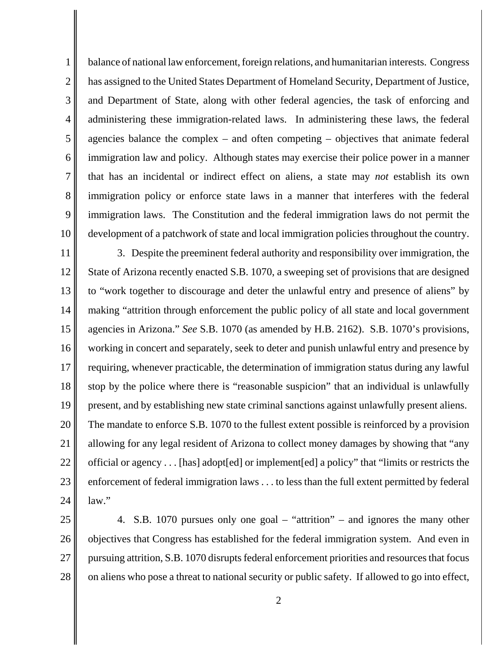1 2 3 4 5 6 7 8 9 10 balance of national law enforcement, foreign relations, and humanitarian interests. Congress has assigned to the United States Department of Homeland Security, Department of Justice, and Department of State, along with other federal agencies, the task of enforcing and administering these immigration-related laws. In administering these laws, the federal agencies balance the complex – and often competing – objectives that animate federal immigration law and policy. Although states may exercise their police power in a manner that has an incidental or indirect effect on aliens, a state may *not* establish its own immigration policy or enforce state laws in a manner that interferes with the federal immigration laws. The Constitution and the federal immigration laws do not permit the development of a patchwork of state and local immigration policies throughout the country.

11 12 13 14 15 16 17 18 19 20 21 22 23 24 3. Despite the preeminent federal authority and responsibility over immigration, the State of Arizona recently enacted S.B. 1070, a sweeping set of provisions that are designed to "work together to discourage and deter the unlawful entry and presence of aliens" by making "attrition through enforcement the public policy of all state and local government agencies in Arizona." *See* S.B. 1070 (as amended by H.B. 2162). S.B. 1070's provisions, working in concert and separately, seek to deter and punish unlawful entry and presence by requiring, whenever practicable, the determination of immigration status during any lawful stop by the police where there is "reasonable suspicion" that an individual is unlawfully present, and by establishing new state criminal sanctions against unlawfully present aliens. The mandate to enforce S.B. 1070 to the fullest extent possible is reinforced by a provision allowing for any legal resident of Arizona to collect money damages by showing that "any official or agency . . . [has] adopt[ed] or implement[ed] a policy" that "limits or restricts the enforcement of federal immigration laws . . . to less than the full extent permitted by federal law."

25 26 27 28 4. S.B. 1070 pursues only one goal – "attrition" – and ignores the many other objectives that Congress has established for the federal immigration system. And even in pursuing attrition, S.B. 1070 disrupts federal enforcement priorities and resources that focus on aliens who pose a threat to national security or public safety. If allowed to go into effect,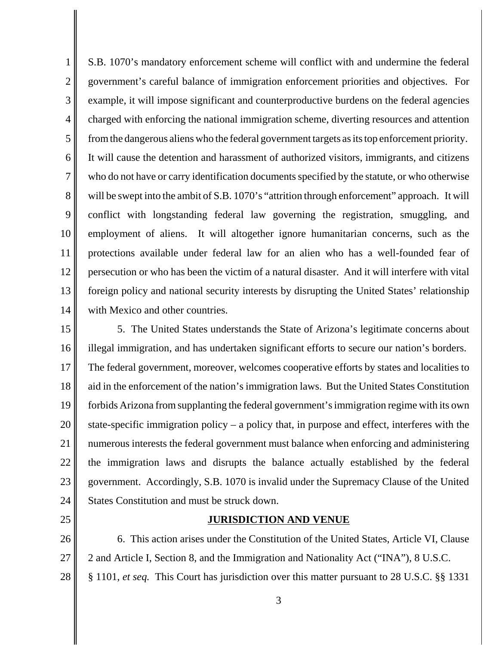1 2 3 4 5 6 7 8 9 10 11 12 13 14 S.B. 1070's mandatory enforcement scheme will conflict with and undermine the federal government's careful balance of immigration enforcement priorities and objectives. For example, it will impose significant and counterproductive burdens on the federal agencies charged with enforcing the national immigration scheme, diverting resources and attention from the dangerous aliens who the federal government targets as its top enforcement priority. It will cause the detention and harassment of authorized visitors, immigrants, and citizens who do not have or carry identification documents specified by the statute, or who otherwise will be swept into the ambit of S.B. 1070's "attrition through enforcement" approach. It will conflict with longstanding federal law governing the registration, smuggling, and employment of aliens. It will altogether ignore humanitarian concerns, such as the protections available under federal law for an alien who has a well-founded fear of persecution or who has been the victim of a natural disaster. And it will interfere with vital foreign policy and national security interests by disrupting the United States' relationship with Mexico and other countries.

15 16 17 18 19 20 21 22 23 24 5. The United States understands the State of Arizona's legitimate concerns about illegal immigration, and has undertaken significant efforts to secure our nation's borders. The federal government, moreover, welcomes cooperative efforts by states and localities to aid in the enforcement of the nation's immigration laws. But the United States Constitution forbids Arizona from supplanting the federal government's immigration regime with its own state-specific immigration policy – a policy that, in purpose and effect, interferes with the numerous interests the federal government must balance when enforcing and administering the immigration laws and disrupts the balance actually established by the federal government. Accordingly, S.B. 1070 is invalid under the Supremacy Clause of the United States Constitution and must be struck down.

25

#### **JURISDICTION AND VENUE**

26 27 28 6. This action arises under the Constitution of the United States, Article VI, Clause 2 and Article I, Section 8, and the Immigration and Nationality Act ("INA"), 8 U.S.C. § 1101, *et seq.* This Court has jurisdiction over this matter pursuant to 28 U.S.C. §§ 1331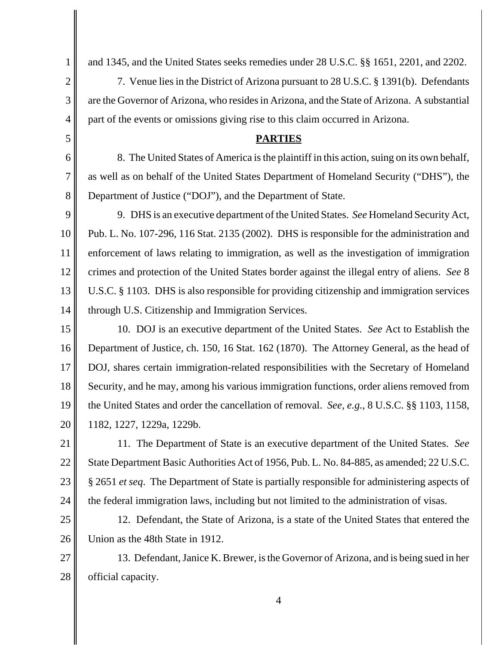and 1345, and the United States seeks remedies under 28 U.S.C. §§ 1651, 2201, and 2202.

7. Venue lies in the District of Arizona pursuant to 28 U.S.C. § 1391(b). Defendants are the Governor of Arizona, who resides in Arizona, and the State of Arizona. A substantial part of the events or omissions giving rise to this claim occurred in Arizona.

#### **PARTIES**

8. The United States of America is the plaintiff in this action, suing on its own behalf, as well as on behalf of the United States Department of Homeland Security ("DHS"), the Department of Justice ("DOJ"), and the Department of State.

9 9. DHS is an executive department of the United States. *See* Homeland Security Act, Pub. L. No. 107-296, 116 Stat. 2135 (2002). DHS is responsible for the administration and enforcement of laws relating to immigration, as well as the investigation of immigration crimes and protection of the United States border against the illegal entry of aliens. *See* 8 U.S.C. § 1103. DHS is also responsible for providing citizenship and immigration services through U.S. Citizenship and Immigration Services.

16 17 18 19 20 10. DOJ is an executive department of the United States. *See* Act to Establish the Department of Justice, ch. 150, 16 Stat. 162 (1870). The Attorney General, as the head of DOJ, shares certain immigration-related responsibilities with the Secretary of Homeland Security, and he may, among his various immigration functions, order aliens removed from the United States and order the cancellation of removal. *See, e.g.*, 8 U.S.C. §§ 1103, 1158, 1182, 1227, 1229a, 1229b.

21 22 23 24 11. The Department of State is an executive department of the United States. *See*  State Department Basic Authorities Act of 1956, Pub. L. No. 84-885, as amended; 22 U.S.C. § 2651 *et seq*. The Department of State is partially responsible for administering aspects of the federal immigration laws, including but not limited to the administration of visas.

25 26 12. Defendant, the State of Arizona, is a state of the United States that entered the Union as the 48th State in 1912.

27 28 13. Defendant, Janice K. Brewer, is the Governor of Arizona, and is being sued in her official capacity.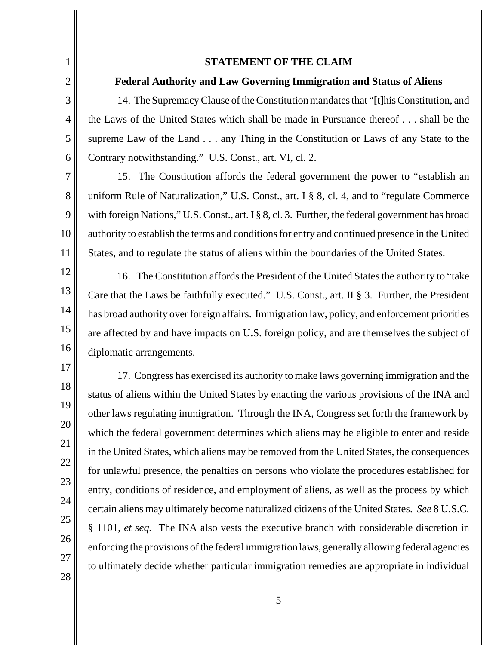28

#### **STATEMENT OF THE CLAIM**

#### **Federal Authority and Law Governing Immigration and Status of Aliens**

14. The Supremacy Clause of the Constitution mandates that "[t]his Constitution, and the Laws of the United States which shall be made in Pursuance thereof . . . shall be the supreme Law of the Land . . . any Thing in the Constitution or Laws of any State to the Contrary notwithstanding." U.S. Const., art. VI, cl. 2.

15. The Constitution affords the federal government the power to "establish an uniform Rule of Naturalization," U.S. Const., art. I § 8, cl. 4, and to "regulate Commerce with foreign Nations," U.S. Const., art. I § 8, cl. 3. Further, the federal government has broad authority to establish the terms and conditions for entry and continued presence in the United States, and to regulate the status of aliens within the boundaries of the United States.

16. The Constitution affords the President of the United States the authority to "take Care that the Laws be faithfully executed." U.S. Const., art. II § 3. Further, the President has broad authority over foreign affairs. Immigration law, policy, and enforcement priorities are affected by and have impacts on U.S. foreign policy, and are themselves the subject of diplomatic arrangements.

 other laws regulating immigration. Through the INA, Congress set forth the framework by which the federal government determines which aliens may be eligible to enter and reside in the United States, which aliens may be removed from the United States, the consequences for unlawful presence, the penalties on persons who violate the procedures established for entry, conditions of residence, and employment of aliens, as well as the process by which certain aliens may ultimately become naturalized citizens of the United States. *See* 8 U.S.C. § 1101, *et seq.* The INA also vests the executive branch with considerable discretion in enforcing the provisions of the federal immigration laws, generally allowing federal agencies to ultimately decide whether particular immigration remedies are appropriate in individual 17. Congress has exercised its authority to make laws governing immigration and the status of aliens within the United States by enacting the various provisions of the INA and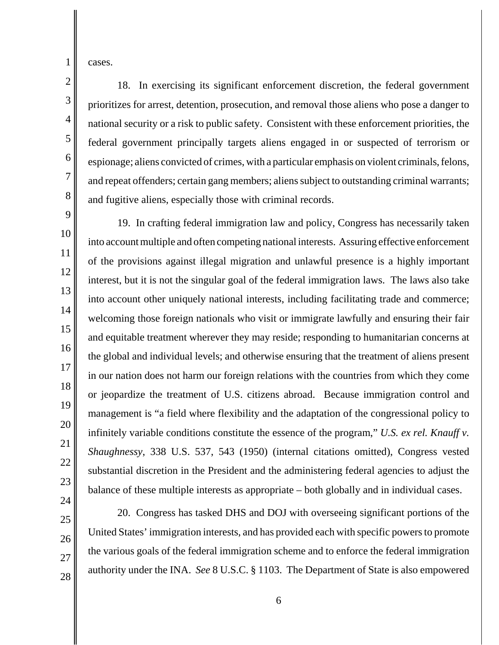cases.

1

2

3

4

5

6

7

8

9

10

11

12

13

14

15

16

17

18

19

20

21

22

23

24

25

26

27

28

 prioritizes for arrest, detention, prosecution, and removal those aliens who pose a danger to national security or a risk to public safety. Consistent with these enforcement priorities, the federal government principally targets aliens engaged in or suspected of terrorism or espionage; aliens convicted of crimes, with a particular emphasis on violent criminals, felons, and repeat offenders; certain gang members; aliens subject to outstanding criminal warrants; 18. In exercising its significant enforcement discretion, the federal government and fugitive aliens, especially those with criminal records.

19. In crafting federal immigration law and policy, Congress has necessarily taken into account multiple and often competing national interests. Assuring effective enforcement of the provisions against illegal migration and unlawful presence is a highly important interest, but it is not the singular goal of the federal immigration laws. The laws also take into account other uniquely national interests, including facilitating trade and commerce; welcoming those foreign nationals who visit or immigrate lawfully and ensuring their fair and equitable treatment wherever they may reside; responding to humanitarian concerns at the global and individual levels; and otherwise ensuring that the treatment of aliens present in our nation does not harm our foreign relations with the countries from which they come or jeopardize the treatment of U.S. citizens abroad. Because immigration control and management is "a field where flexibility and the adaptation of the congressional policy to infinitely variable conditions constitute the essence of the program," *U.S. ex rel. Knauff v. Shaughnessy*, 338 U.S. 537, 543 (1950) (internal citations omitted), Congress vested substantial discretion in the President and the administering federal agencies to adjust the balance of these multiple interests as appropriate – both globally and in individual cases.

20. Congress has tasked DHS and DOJ with overseeing significant portions of the United States' immigration interests, and has provided each with specific powers to promote the various goals of the federal immigration scheme and to enforce the federal immigration authority under the INA. *See* 8 U.S.C. § 1103. The Department of State is also empowered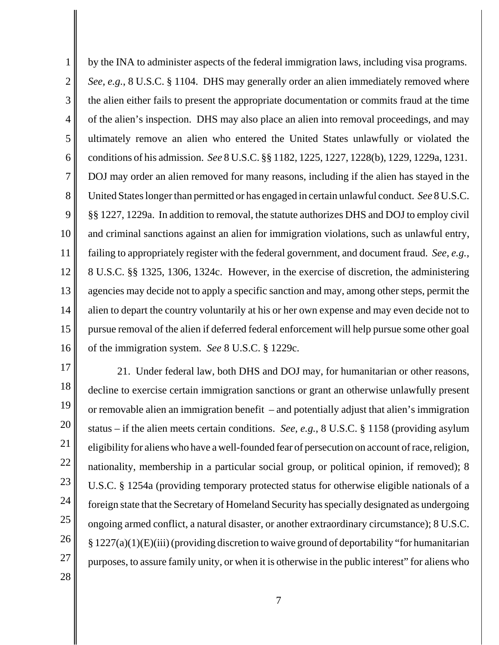1 2 3 4 5 6 7 8 9 10 11 12 13 14 15 16 by the INA to administer aspects of the federal immigration laws, including visa programs. *See, e.g.*, 8 U.S.C. § 1104. DHS may generally order an alien immediately removed where the alien either fails to present the appropriate documentation or commits fraud at the time of the alien's inspection. DHS may also place an alien into removal proceedings, and may ultimately remove an alien who entered the United States unlawfully or violated the conditions of his admission. *See* 8 U.S.C. §§ 1182, 1225, 1227, 1228(b), 1229, 1229a, 1231. DOJ may order an alien removed for many reasons, including if the alien has stayed in the United States longer than permitted or has engaged in certain unlawful conduct. *See* 8 U.S.C. §§ 1227, 1229a. In addition to removal, the statute authorizes DHS and DOJ to employ civil and criminal sanctions against an alien for immigration violations, such as unlawful entry, failing to appropriately register with the federal government, and document fraud. *See, e.g.,*  8 U.S.C. §§ 1325, 1306, 1324c. However, in the exercise of discretion, the administering agencies may decide not to apply a specific sanction and may, among other steps, permit the alien to depart the country voluntarily at his or her own expense and may even decide not to pursue removal of the alien if deferred federal enforcement will help pursue some other goal of the immigration system. *See* 8 U.S.C. § 1229c.

17 18 19 20 21 22 23 24 25 26 27 21. Under federal law, both DHS and DOJ may, for humanitarian or other reasons, decline to exercise certain immigration sanctions or grant an otherwise unlawfully present or removable alien an immigration benefit – and potentially adjust that alien's immigration status – if the alien meets certain conditions. *See, e.g.*, 8 U.S.C. § 1158 (providing asylum eligibility for aliens who have a well-founded fear of persecution on account of race, religion, nationality, membership in a particular social group, or political opinion, if removed); 8 U.S.C. § 1254a (providing temporary protected status for otherwise eligible nationals of a foreign state that the Secretary of Homeland Security has specially designated as undergoing ongoing armed conflict, a natural disaster, or another extraordinary circumstance); 8 U.S.C.  $\S 1227(a)(1)(E)(iii)$  (providing discretion to waive ground of deportability "for humanitarian purposes, to assure family unity, or when it is otherwise in the public interest" for aliens who

7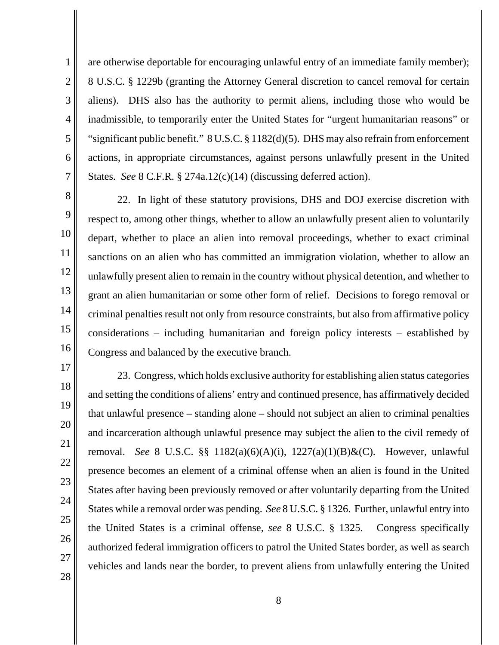2 3 4 5 6 are otherwise deportable for encouraging unlawful entry of an immediate family member); 8 U.S.C. § 1229b (granting the Attorney General discretion to cancel removal for certain aliens). DHS also has the authority to permit aliens, including those who would be inadmissible, to temporarily enter the United States for "urgent humanitarian reasons" or "significant public benefit." 8 U.S.C. § 1182(d)(5). DHS may also refrain from enforcement actions, in appropriate circumstances, against persons unlawfully present in the United States. *See* 8 C.F.R. § 274a.12(c)(14) (discussing deferred action).

8 9 10

11

12

13

14

15

16

17

18

19

20

21

22

23

24

25

26

27

28

7

1

 grant an alien humanitarian or some other form of relief. Decisions to forego removal or 22. In light of these statutory provisions, DHS and DOJ exercise discretion with respect to, among other things, whether to allow an unlawfully present alien to voluntarily depart, whether to place an alien into removal proceedings, whether to exact criminal sanctions on an alien who has committed an immigration violation, whether to allow an unlawfully present alien to remain in the country without physical detention, and whether to criminal penalties result not only from resource constraints, but also from affirmative policy considerations – including humanitarian and foreign policy interests – established by Congress and balanced by the executive branch.

23. Congress, which holds exclusive authority for establishing alien status categories and setting the conditions of aliens' entry and continued presence, has affirmatively decided that unlawful presence – standing alone – should not subject an alien to criminal penalties and incarceration although unlawful presence may subject the alien to the civil remedy of removal. *See* 8 U.S.C. §§ 1182(a)(6)(A)(i), 1227(a)(1)(B)&(C). However, unlawful presence becomes an element of a criminal offense when an alien is found in the United States after having been previously removed or after voluntarily departing from the United States while a removal order was pending. *See* 8 U.S.C. § 1326. Further, unlawful entry into the United States is a criminal offense, *see* 8 U.S.C. § 1325. Congress specifically authorized federal immigration officers to patrol the United States border, as well as search vehicles and lands near the border, to prevent aliens from unlawfully entering the United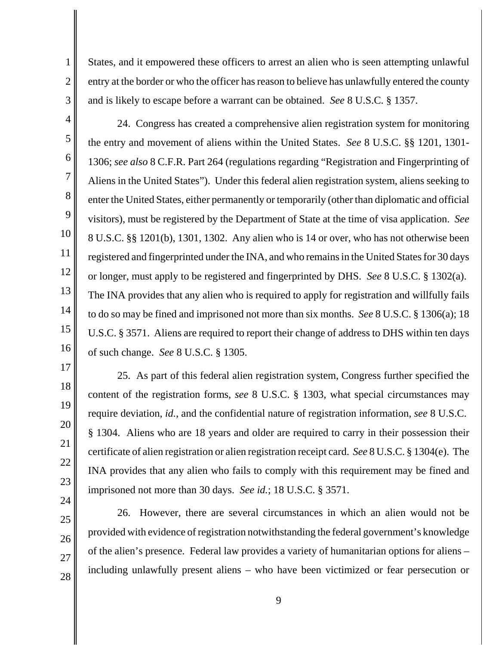States, and it empowered these officers to arrest an alien who is seen attempting unlawful entry at the border or who the officer has reason to believe has unlawfully entered the county and is likely to escape before a warrant can be obtained. *See* 8 U.S.C. § 1357.

3 4

5

6

7

8

9

10

11

12

13

14

15

16

1

2

 24. Congress has created a comprehensive alien registration system for monitoring the entry and movement of aliens within the United States. *See* 8 U.S.C. §§ 1201, 1301 1306; *see also* 8 C.F.R. Part 264 (regulations regarding "Registration and Fingerprinting of Aliens in the United States"). Under this federal alien registration system, aliens seeking to enter the United States, either permanently or temporarily (other than diplomatic and official visitors), must be registered by the Department of State at the time of visa application. *See*  8 U.S.C. §§ 1201(b), 1301, 1302. Any alien who is 14 or over, who has not otherwise been registered and fingerprinted under the INA, and who remains in the United States for 30 days or longer, must apply to be registered and fingerprinted by DHS. *See* 8 U.S.C. § 1302(a). The INA provides that any alien who is required to apply for registration and willfully fails to do so may be fined and imprisoned not more than six months. *See* 8 U.S.C. § 1306(a); 18 U.S.C. § 3571. Aliens are required to report their change of address to DHS within ten days of such change. *See* 8 U.S.C. § 1305.

25. As part of this federal alien registration system, Congress further specified the content of the registration forms, *see* 8 U.S.C. § 1303, what special circumstances may require deviation, *id.*, and the confidential nature of registration information, *see* 8 U.S.C. § 1304. Aliens who are 18 years and older are required to carry in their possession their certificate of alien registration or alien registration receipt card. *See* 8 U.S.C. § 1304(e). The INA provides that any alien who fails to comply with this requirement may be fined and imprisoned not more than 30 days. *See id.*; 18 U.S.C. § 3571.

 26. However, there are several circumstances in which an alien would not be provided with evidence of registration notwithstanding the federal government's knowledge of the alien's presence. Federal law provides a variety of humanitarian options for aliens – including unlawfully present aliens – who have been victimized or fear persecution or

28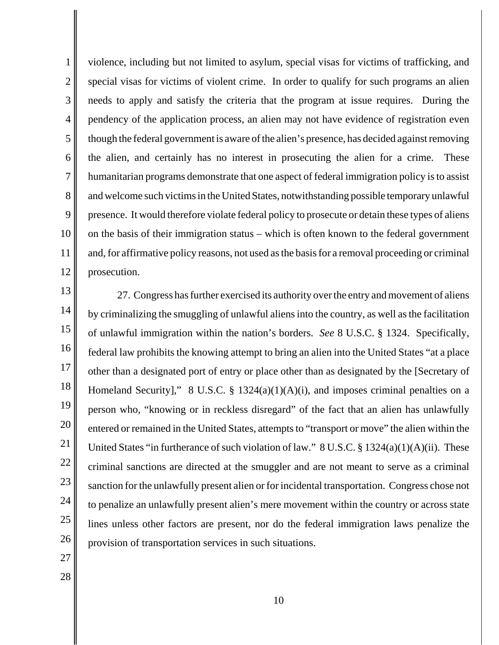1 2 3 4 5 6 7 8 9 10 11 12 special visas for victims of violent crime. In order to qualify for such programs an alien needs to apply and satisfy the criteria that the program at issue requires. During the though the federal government is aware of the alien's presence, has decided against removing violence, including but not limited to asylum, special visas for victims of trafficking, and pendency of the application process, an alien may not have evidence of registration even the alien, and certainly has no interest in prosecuting the alien for a crime. These humanitarian programs demonstrate that one aspect of federal immigration policy is to assist and welcome such victims in the United States, notwithstanding possible temporary unlawful presence. It would therefore violate federal policy to prosecute or detain these types of aliens on the basis of their immigration status – which is often known to the federal government and, for affirmative policy reasons, not used as the basis for a removal proceeding or criminal prosecution.

13 14 15 16 17 18 19 20 21 22 23 24 25 26 27. Congress has further exercised its authority over the entry and movement of aliens by criminalizing the smuggling of unlawful aliens into the country, as well as the facilitation of unlawful immigration within the nation's borders. *See* 8 U.S.C. § 1324. Specifically, federal law prohibits the knowing attempt to bring an alien into the United States "at a place other than a designated port of entry or place other than as designated by the [Secretary of Homeland Security]," 8 U.S.C. § 1324(a)(1)(A)(i), and imposes criminal penalties on a person who, "knowing or in reckless disregard" of the fact that an alien has unlawfully entered or remained in the United States, attempts to "transport or move" the alien within the United States "in furtherance of such violation of law."  $8 \text{ U.S.C.} \$ § 1324(a)(1)(A)(ii). These criminal sanctions are directed at the smuggler and are not meant to serve as a criminal sanction for the unlawfully present alien or for incidental transportation. Congress chose not to penalize an unlawfully present alien's mere movement within the country or across state lines unless other factors are present, nor do the federal immigration laws penalize the provision of transportation services in such situations.

- 27
- 28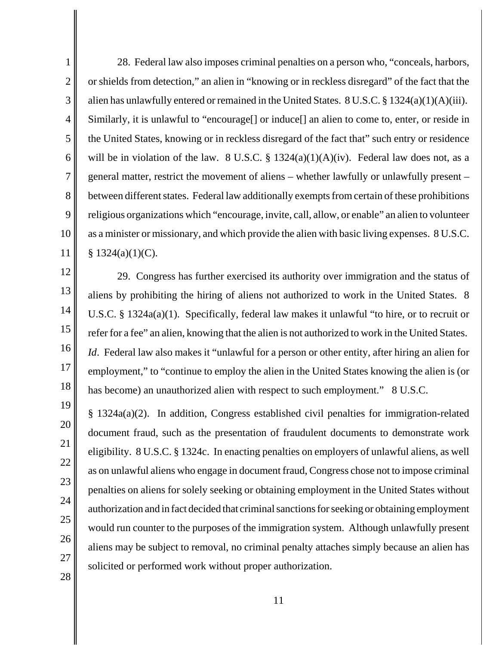1 2 3 4 5 6 7 8 9 10 11  as a minister or missionary, and which provide the alien with basic living expenses. 8 U.S.C. 28. Federal law also imposes criminal penalties on a person who, "conceals, harbors, or shields from detection," an alien in "knowing or in reckless disregard" of the fact that the alien has unlawfully entered or remained in the United States. 8 U.S.C. § 1324(a)(1)(A)(iii). Similarly, it is unlawful to "encourage<sup>[]</sup> or induce<sup>[]</sup> an alien to come to, enter, or reside in the United States, knowing or in reckless disregard of the fact that" such entry or residence will be in violation of the law. 8 U.S.C.  $\S$  1324(a)(1)(A)(iv). Federal law does not, as a general matter, restrict the movement of aliens – whether lawfully or unlawfully present – between different states. Federal law additionally exempts from certain of these prohibitions religious organizations which "encourage, invite, call, allow, or enable" an alien to volunteer  $$ 1324(a)(1)(C).$ 

29. Congress has further exercised its authority over immigration and the status of aliens by prohibiting the hiring of aliens not authorized to work in the United States. 8 U.S.C. § 1324a(a)(1). Specifically, federal law makes it unlawful "to hire, or to recruit or refer for a fee" an alien, knowing that the alien is not authorized to work in the United States. *Id.* Federal law also makes it "unlawful for a person or other entity, after hiring an alien for employment," to "continue to employ the alien in the United States knowing the alien is (or has become) an unauthorized alien with respect to such employment." 8 U.S.C.

12

13

14

15

16

17

18

19

20

21

22

23

24

25

26

27

28

§ 1324a(a)(2). In addition, Congress established civil penalties for immigration-related document fraud, such as the presentation of fraudulent documents to demonstrate work eligibility. 8 U.S.C. § 1324c. In enacting penalties on employers of unlawful aliens, as well as on unlawful aliens who engage in document fraud, Congress chose not to impose criminal penalties on aliens for solely seeking or obtaining employment in the United States without authorization and in fact decided that criminal sanctions for seeking or obtaining employment would run counter to the purposes of the immigration system. Although unlawfully present aliens may be subject to removal, no criminal penalty attaches simply because an alien has solicited or performed work without proper authorization.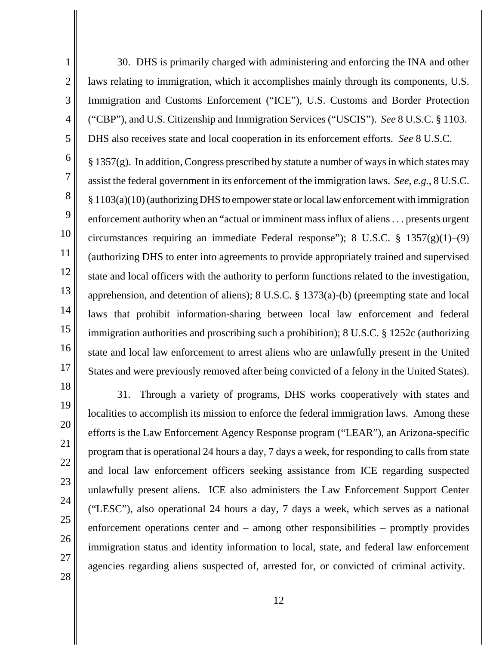30. DHS is primarily charged with administering and enforcing the INA and other laws relating to immigration, which it accomplishes mainly through its components, U.S. Immigration and Customs Enforcement ("ICE"), U.S. Customs and Border Protection ("CBP"), and U.S. Citizenship and Immigration Services ("USCIS"). *See* 8 U.S.C. § 1103. DHS also receives state and local cooperation in its enforcement efforts. *See* 8 U.S.C.

6 8 9 10 11 12 13 14 15 16 17  $\S 1357(g)$ . In addition, Congress prescribed by statute a number of ways in which states may assist the federal government in its enforcement of the immigration laws. *See, e.g.*, 8 U.S.C. § 1103(a)(10) (authorizing DHS to empower state or local law enforcement with immigration enforcement authority when an "actual or imminent mass influx of aliens . . . presents urgent circumstances requiring an immediate Federal response"); 8 U.S.C.  $\S$  1357(g)(1)–(9) (authorizing DHS to enter into agreements to provide appropriately trained and supervised state and local officers with the authority to perform functions related to the investigation, apprehension, and detention of aliens); 8 U.S.C. § 1373(a)-(b) (preempting state and local laws that prohibit information-sharing between local law enforcement and federal immigration authorities and proscribing such a prohibition); 8 U.S.C. § 1252c (authorizing state and local law enforcement to arrest aliens who are unlawfully present in the United States and were previously removed after being convicted of a felony in the United States).

28

1

2

3

4

5

7

31. Through a variety of programs, DHS works cooperatively with states and localities to accomplish its mission to enforce the federal immigration laws. Among these efforts is the Law Enforcement Agency Response program ("LEAR"), an Arizona-specific program that is operational 24 hours a day, 7 days a week, for responding to calls from state and local law enforcement officers seeking assistance from ICE regarding suspected unlawfully present aliens. ICE also administers the Law Enforcement Support Center ("LESC"), also operational 24 hours a day, 7 days a week, which serves as a national enforcement operations center and – among other responsibilities – promptly provides immigration status and identity information to local, state, and federal law enforcement agencies regarding aliens suspected of, arrested for, or convicted of criminal activity.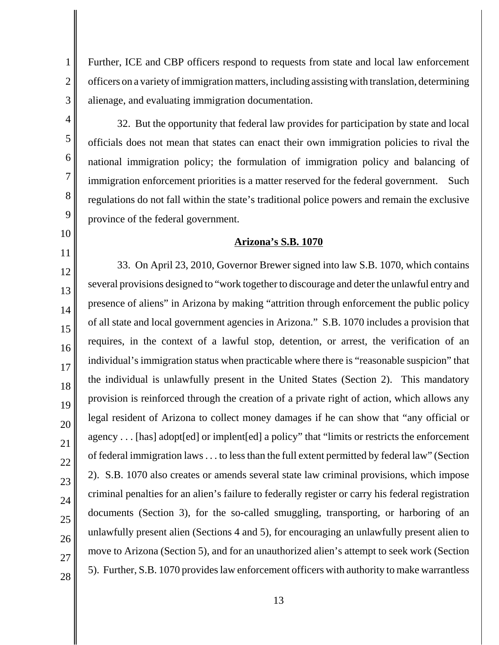Further, ICE and CBP officers respond to requests from state and local law enforcement officers on a variety of immigration matters, including assisting with translation, determining alienage, and evaluating immigration documentation.

3 4

5

6

7

8

9

10

11

12

13

14

15

16

17

18

19

20

21

22

23

24

25

26

27

28

1

2

 immigration enforcement priorities is a matter reserved for the federal government. Such 32. But the opportunity that federal law provides for participation by state and local officials does not mean that states can enact their own immigration policies to rival the national immigration policy; the formulation of immigration policy and balancing of regulations do not fall within the state's traditional police powers and remain the exclusive province of the federal government.

## **Arizona's S.B. 1070**

 several provisions designed to "work together to discourage and deter the unlawful entry and presence of aliens" in Arizona by making "attrition through enforcement the public policy of all state and local government agencies in Arizona." S.B. 1070 includes a provision that 33. On April 23, 2010, Governor Brewer signed into law S.B. 1070, which contains requires, in the context of a lawful stop, detention, or arrest, the verification of an individual's immigration status when practicable where there is "reasonable suspicion" that the individual is unlawfully present in the United States (Section 2). This mandatory provision is reinforced through the creation of a private right of action, which allows any legal resident of Arizona to collect money damages if he can show that "any official or agency . . . [has] adopt[ed] or implent[ed] a policy" that "limits or restricts the enforcement of federal immigration laws . . . to less than the full extent permitted by federal law" (Section 2). S.B. 1070 also creates or amends several state law criminal provisions, which impose criminal penalties for an alien's failure to federally register or carry his federal registration documents (Section 3), for the so-called smuggling, transporting, or harboring of an unlawfully present alien (Sections 4 and 5), for encouraging an unlawfully present alien to move to Arizona (Section 5), and for an unauthorized alien's attempt to seek work (Section 5). Further, S.B. 1070 provides law enforcement officers with authority to make warrantless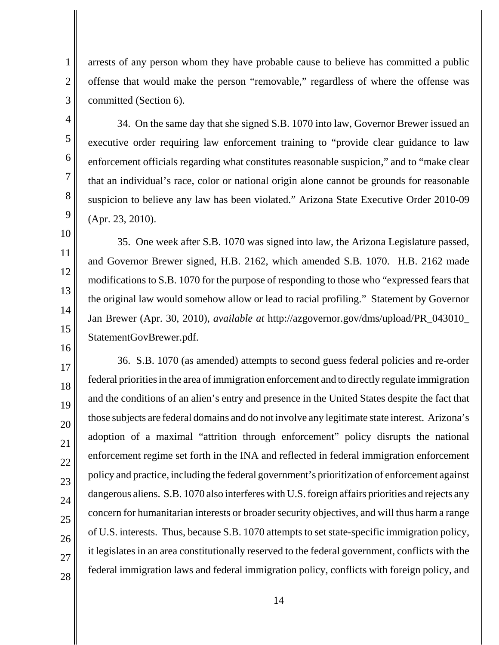arrests of any person whom they have probable cause to believe has committed a public offense that would make the person "removable," regardless of where the offense was committed (Section 6).

34. On the same day that she signed S.B. 1070 into law, Governor Brewer issued an executive order requiring law enforcement training to "provide clear guidance to law enforcement officials regarding what constitutes reasonable suspicion," and to "make clear that an individual's race, color or national origin alone cannot be grounds for reasonable suspicion to believe any law has been violated." Arizona State Executive Order 2010-09 (Apr. 23, 2010).

35. One week after S.B. 1070 was signed into law, the Arizona Legislature passed, and Governor Brewer signed, H.B. 2162, which amended S.B. 1070. H.B. 2162 made modifications to S.B. 1070 for the purpose of responding to those who "expressed fears that the original law would somehow allow or lead to racial profiling." Statement by Governor Jan Brewer (Apr. 30, 2010), *available at* http://azgovernor.gov/dms/upload/PR\_043010\_ StatementGovBrewer.pdf.

36. S.B. 1070 (as amended) attempts to second guess federal policies and re-order federal priorities in the area of immigration enforcement and to directly regulate immigration and the conditions of an alien's entry and presence in the United States despite the fact that those subjects are federal domains and do not involve any legitimate state interest. Arizona's adoption of a maximal "attrition through enforcement" policy disrupts the national enforcement regime set forth in the INA and reflected in federal immigration enforcement policy and practice, including the federal government's prioritization of enforcement against dangerous aliens. S.B. 1070 also interferes with U.S. foreign affairs priorities and rejects any concern for humanitarian interests or broader security objectives, and will thus harm a range of U.S. interests. Thus, because S.B. 1070 attempts to set state-specific immigration policy, it legislates in an area constitutionally reserved to the federal government, conflicts with the federal immigration laws and federal immigration policy, conflicts with foreign policy, and

28

1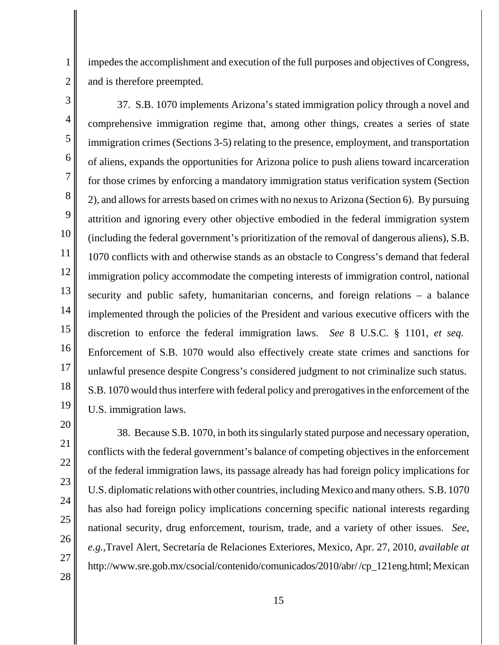impedes the accomplishment and execution of the full purposes and objectives of Congress, and is therefore preempted.

1

2

3 15 16 17 18 19 37. S.B. 1070 implements Arizona's stated immigration policy through a novel and comprehensive immigration regime that, among other things, creates a series of state immigration crimes (Sections 3-5) relating to the presence, employment, and transportation of aliens, expands the opportunities for Arizona police to push aliens toward incarceration for those crimes by enforcing a mandatory immigration status verification system (Section 2), and allows for arrests based on crimes with no nexus to Arizona (Section 6). By pursuing (including the federal government's prioritization of the removal of dangerous aliens), S.B. immigration policy accommodate the competing interests of immigration control, national implemented through the policies of the President and various executive officers with the discretion to enforce the federal immigration laws. *See* 8 U.S.C. § 1101, *et seq.*  Enforcement of S.B. 1070 would also effectively create state crimes and sanctions for unlawful presence despite Congress's considered judgment to not criminalize such status. S.B. 1070 would thus interfere with federal policy and prerogatives in the enforcement of the attrition and ignoring every other objective embodied in the federal immigration system 1070 conflicts with and otherwise stands as an obstacle to Congress's demand that federal security and public safety, humanitarian concerns, and foreign relations – a balance U.S. immigration laws.

27

28

38. Because S.B. 1070, in both its singularly stated purpose and necessary operation, conflicts with the federal government's balance of competing objectives in the enforcement of the federal immigration laws, its passage already has had foreign policy implications for U.S. diplomatic relations with other countries, including Mexico and many others. S.B. 1070 has also had foreign policy implications concerning specific national interests regarding national security, drug enforcement, tourism, trade, and a variety of other issues. *See, e.g.*,Travel Alert, Secretaría de Relaciones Exteriores, Mexico, Apr. 27, 2010, *available at*  http://www.sre.gob.mx/csocial/contenido/comunicados/2010/abr/ /cp\_121eng.html; Mexican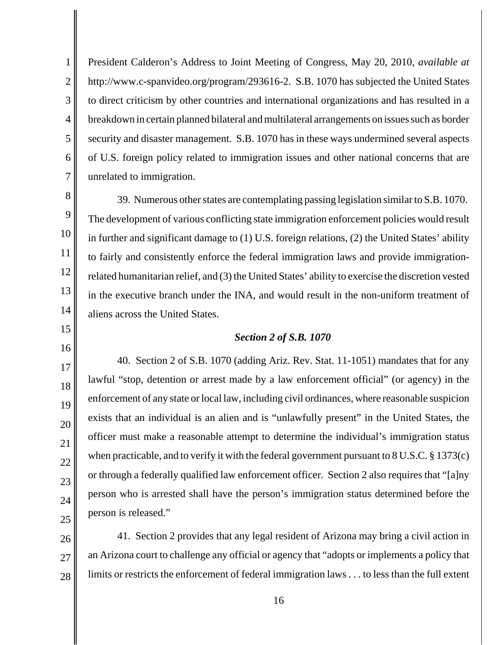2 3 4 5 6 7 President Calderon's Address to Joint Meeting of Congress, May 20, 2010, *available at*  http://www.c-spanvideo.org/program/293616-2. S.B. 1070 has subjected the United States to direct criticism by other countries and international organizations and has resulted in a breakdown in certain planned bilateral and multilateral arrangements on issues such as border security and disaster management. S.B. 1070 has in these ways undermined several aspects of U.S. foreign policy related to immigration issues and other national concerns that are unrelated to immigration.

8 9

10

11

12

13

14

15

16

17

18

19

20

21

22

23

24

25

1

39. Numerous other states are contemplating passing legislation similar to S.B. 1070. The development of various conflicting state immigration enforcement policies would result in further and significant damage to (1) U.S. foreign relations, (2) the United States' ability to fairly and consistently enforce the federal immigration laws and provide immigrationrelated humanitarian relief, and (3) the United States' ability to exercise the discretion vested in the executive branch under the INA, and would result in the non-uniform treatment of aliens across the United States.

## *Section 2 of S.B. 1070*

40. Section 2 of S.B. 1070 (adding Ariz. Rev. Stat. 11-1051) mandates that for any lawful "stop, detention or arrest made by a law enforcement official" (or agency) in the enforcement of any state or local law, including civil ordinances, where reasonable suspicion exists that an individual is an alien and is "unlawfully present" in the United States, the officer must make a reasonable attempt to determine the individual's immigration status when practicable, and to verify it with the federal government pursuant to 8 U.S.C. § 1373(c) or through a federally qualified law enforcement officer. Section 2 also requires that "[a]ny person who is arrested shall have the person's immigration status determined before the person is released."

26 27 28 41. Section 2 provides that any legal resident of Arizona may bring a civil action in an Arizona court to challenge any official or agency that "adopts or implements a policy that limits or restricts the enforcement of federal immigration laws . . . to less than the full extent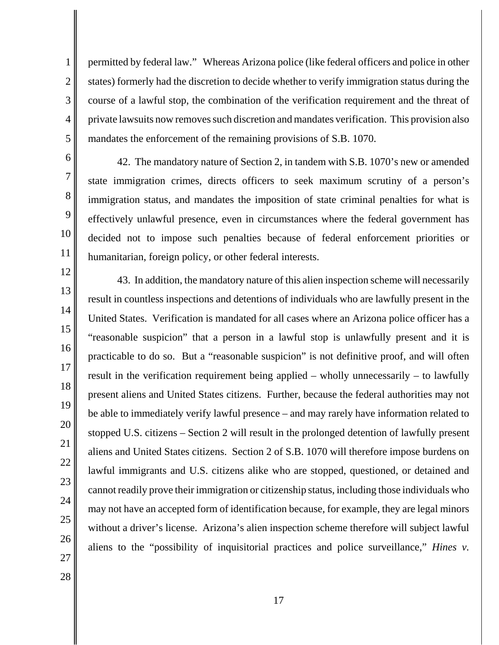permitted by federal law." Whereas Arizona police (like federal officers and police in other states) formerly had the discretion to decide whether to verify immigration status during the course of a lawful stop, the combination of the verification requirement and the threat of private lawsuits now removes such discretion and mandates verification. This provision also mandates the enforcement of the remaining provisions of S.B. 1070.

10

11

12

13

14

15

16

17

18

19

20

21

22

23

24

25

26

1

2

3

4

5

42. The mandatory nature of Section 2, in tandem with S.B. 1070's new or amended state immigration crimes, directs officers to seek maximum scrutiny of a person's immigration status, and mandates the imposition of state criminal penalties for what is effectively unlawful presence, even in circumstances where the federal government has decided not to impose such penalties because of federal enforcement priorities or humanitarian, foreign policy, or other federal interests.

43. In addition, the mandatory nature of this alien inspection scheme will necessarily result in countless inspections and detentions of individuals who are lawfully present in the United States. Verification is mandated for all cases where an Arizona police officer has a "reasonable suspicion" that a person in a lawful stop is unlawfully present and it is practicable to do so. But a "reasonable suspicion" is not definitive proof, and will often result in the verification requirement being applied – wholly unnecessarily – to lawfully present aliens and United States citizens. Further, because the federal authorities may not be able to immediately verify lawful presence – and may rarely have information related to stopped U.S. citizens – Section 2 will result in the prolonged detention of lawfully present aliens and United States citizens. Section 2 of S.B. 1070 will therefore impose burdens on lawful immigrants and U.S. citizens alike who are stopped, questioned, or detained and cannot readily prove their immigration or citizenship status, including those individuals who may not have an accepted form of identification because, for example, they are legal minors without a driver's license. Arizona's alien inspection scheme therefore will subject lawful aliens to the "possibility of inquisitorial practices and police surveillance," *Hines v.*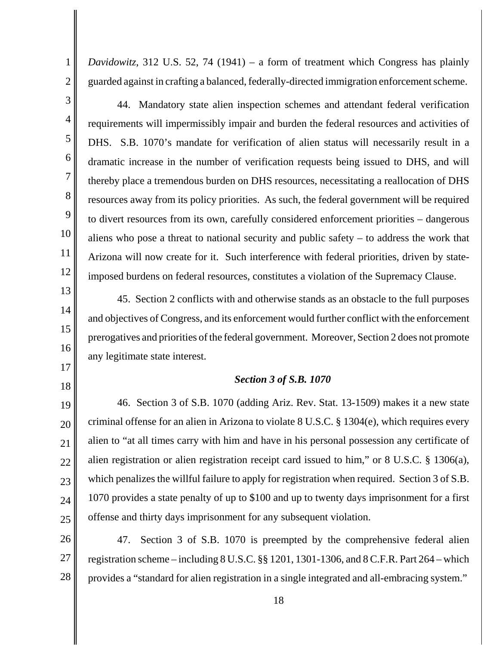1

*Davidowitz*, 312 U.S. 52, 74 (1941) – a form of treatment which Congress has plainly guarded against in crafting a balanced, federally-directed immigration enforcement scheme.

 44. Mandatory state alien inspection schemes and attendant federal verification requirements will impermissibly impair and burden the federal resources and activities of dramatic increase in the number of verification requests being issued to DHS, and will thereby place a tremendous burden on DHS resources, necessitating a reallocation of DHS resources away from its policy priorities. As such, the federal government will be required to divert resources from its own, carefully considered enforcement priorities – dangerous Arizona will now create for it. Such interference with federal priorities, driven by state-DHS. S.B. 1070's mandate for verification of alien status will necessarily result in a aliens who pose a threat to national security and public safety – to address the work that imposed burdens on federal resources, constitutes a violation of the Supremacy Clause.

45. Section 2 conflicts with and otherwise stands as an obstacle to the full purposes and objectives of Congress, and its enforcement would further conflict with the enforcement prerogatives and priorities of the federal government. Moreover, Section 2 does not promote any legitimate state interest.

## *Section 3 of S.B. 1070*

46. Section 3 of S.B. 1070 (adding Ariz. Rev. Stat. 13-1509) makes it a new state criminal offense for an alien in Arizona to violate 8 U.S.C. § 1304(e), which requires every alien to "at all times carry with him and have in his personal possession any certificate of alien registration or alien registration receipt card issued to him," or 8 U.S.C. § 1306(a), which penalizes the willful failure to apply for registration when required. Section 3 of S.B. 1070 provides a state penalty of up to \$100 and up to twenty days imprisonment for a first offense and thirty days imprisonment for any subsequent violation.

47. Section 3 of S.B. 1070 is preempted by the comprehensive federal alien registration scheme – including 8 U.S.C. §§ 1201, 1301-1306, and 8 C.F.R. Part 264 – which provides a "standard for alien registration in a single integrated and all-embracing system."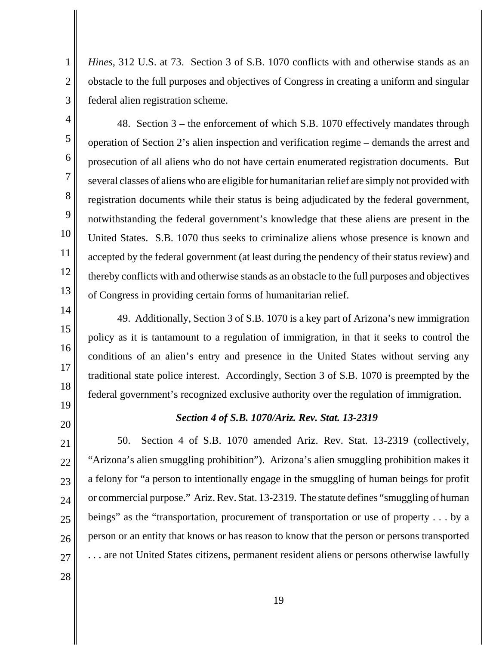*Hines*, 312 U.S. at 73. Section 3 of S.B. 1070 conflicts with and otherwise stands as an obstacle to the full purposes and objectives of Congress in creating a uniform and singular federal alien registration scheme.

3 4

5

6

7

8

9

10

11

12

13

14

15

16

17

18

1

2

48. Section 3 – the enforcement of which S.B. 1070 effectively mandates through operation of Section 2's alien inspection and verification regime – demands the arrest and prosecution of all aliens who do not have certain enumerated registration documents. But several classes of aliens who are eligible for humanitarian relief are simply not provided with registration documents while their status is being adjudicated by the federal government, notwithstanding the federal government's knowledge that these aliens are present in the United States. S.B. 1070 thus seeks to criminalize aliens whose presence is known and accepted by the federal government (at least during the pendency of their status review) and thereby conflicts with and otherwise stands as an obstacle to the full purposes and objectives of Congress in providing certain forms of humanitarian relief.

49. Additionally, Section 3 of S.B. 1070 is a key part of Arizona's new immigration policy as it is tantamount to a regulation of immigration, in that it seeks to control the conditions of an alien's entry and presence in the United States without serving any traditional state police interest. Accordingly, Section 3 of S.B. 1070 is preempted by the federal government's recognized exclusive authority over the regulation of immigration.

19 20

## *Section 4 of S.B. 1070/Ariz. Rev. Stat. 13-2319*

21 22 23 24 25 26 27 50. Section 4 of S.B. 1070 amended Ariz. Rev. Stat. 13-2319 (collectively, "Arizona's alien smuggling prohibition"). Arizona's alien smuggling prohibition makes it a felony for "a person to intentionally engage in the smuggling of human beings for profit or commercial purpose." Ariz. Rev. Stat. 13-2319. The statute defines "smuggling of human beings" as the "transportation, procurement of transportation or use of property . . . by a person or an entity that knows or has reason to know that the person or persons transported . . . are not United States citizens, permanent resident aliens or persons otherwise lawfully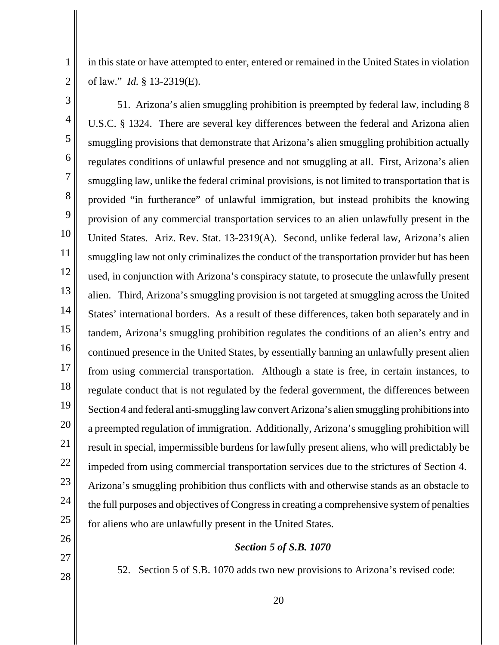in this state or have attempted to enter, entered or remained in the United States in violation of law." *Id.* § 13-2319(E).

2 3

1

4 5 6 7 8 9 10 11 12 13 14 15 16 17 18 19 20 21 22 23 24 25 26 27 51. Arizona's alien smuggling prohibition is preempted by federal law, including 8 U.S.C. § 1324. There are several key differences between the federal and Arizona alien smuggling provisions that demonstrate that Arizona's alien smuggling prohibition actually regulates conditions of unlawful presence and not smuggling at all. First, Arizona's alien smuggling law, unlike the federal criminal provisions, is not limited to transportation that is provided "in furtherance" of unlawful immigration, but instead prohibits the knowing provision of any commercial transportation services to an alien unlawfully present in the United States. Ariz. Rev. Stat. 13-2319(A). Second, unlike federal law, Arizona's alien smuggling law not only criminalizes the conduct of the transportation provider but has been used, in conjunction with Arizona's conspiracy statute, to prosecute the unlawfully present alien. Third, Arizona's smuggling provision is not targeted at smuggling across the United States' international borders. As a result of these differences, taken both separately and in tandem, Arizona's smuggling prohibition regulates the conditions of an alien's entry and continued presence in the United States, by essentially banning an unlawfully present alien from using commercial transportation. Although a state is free, in certain instances, to regulate conduct that is not regulated by the federal government, the differences between Section 4 and federal anti-smuggling law convert Arizona's alien smuggling prohibitions into a preempted regulation of immigration. Additionally, Arizona's smuggling prohibition will result in special, impermissible burdens for lawfully present aliens, who will predictably be impeded from using commercial transportation services due to the strictures of Section 4. Arizona's smuggling prohibition thus conflicts with and otherwise stands as an obstacle to the full purposes and objectives of Congress in creating a comprehensive system of penalties for aliens who are unlawfully present in the United States. *Section 5 of S.B. 1070* 

28

52. Section 5 of S.B. 1070 adds two new provisions to Arizona's revised code: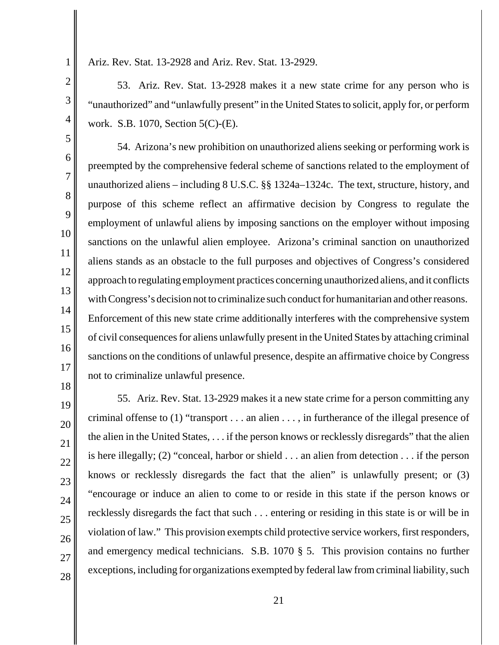7

8

9

10

11

12

13

14

15

16

17

Ariz. Rev. Stat. 13-2928 and Ariz. Rev. Stat. 13-2929.

53. Ariz. Rev. Stat. 13-2928 makes it a new state crime for any person who is "unauthorized" and "unlawfully present" in the United States to solicit, apply for, or perform work. S.B. 1070, Section 5(C)-(E).

54. Arizona's new prohibition on unauthorized aliens seeking or performing work is preempted by the comprehensive federal scheme of sanctions related to the employment of unauthorized aliens – including 8 U.S.C. §§ 1324a–1324c. The text, structure, history, and purpose of this scheme reflect an affirmative decision by Congress to regulate the employment of unlawful aliens by imposing sanctions on the employer without imposing sanctions on the unlawful alien employee. Arizona's criminal sanction on unauthorized aliens stands as an obstacle to the full purposes and objectives of Congress's considered approach to regulating employment practices concerning unauthorized aliens, and it conflicts with Congress's decision not to criminalize such conduct for humanitarian and other reasons. Enforcement of this new state crime additionally interferes with the comprehensive system of civil consequences for aliens unlawfully present in the United States by attaching criminal sanctions on the conditions of unlawful presence, despite an affirmative choice by Congress not to criminalize unlawful presence.

18 19 20 21 22 23 24 25 26 27 28 55. Ariz. Rev. Stat. 13-2929 makes it a new state crime for a person committing any criminal offense to (1) "transport . . . an alien . . . , in furtherance of the illegal presence of the alien in the United States, . . . if the person knows or recklessly disregards" that the alien is here illegally; (2) "conceal, harbor or shield . . . an alien from detection . . . if the person knows or recklessly disregards the fact that the alien" is unlawfully present; or (3) "encourage or induce an alien to come to or reside in this state if the person knows or recklessly disregards the fact that such . . . entering or residing in this state is or will be in violation of law." This provision exempts child protective service workers, first responders, and emergency medical technicians. S.B. 1070 § 5. This provision contains no further exceptions, including for organizations exempted by federal law from criminal liability, such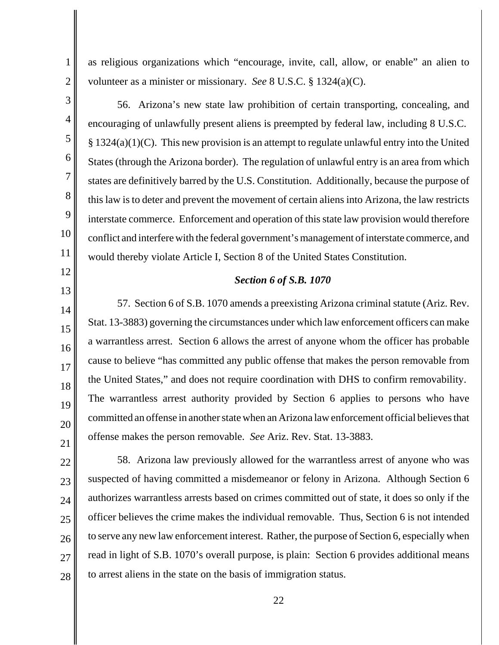as religious organizations which "encourage, invite, call, allow, or enable" an alien to volunteer as a minister or missionary. *See* 8 U.S.C. § 1324(a)(C).

56. Arizona's new state law prohibition of certain transporting, concealing, and encouraging of unlawfully present aliens is preempted by federal law, including 8 U.S.C.  $\S 1324(a)(1)(C)$ . This new provision is an attempt to regulate unlawful entry into the United States (through the Arizona border). The regulation of unlawful entry is an area from which states are definitively barred by the U.S. Constitution. Additionally, because the purpose of this law is to deter and prevent the movement of certain aliens into Arizona, the law restricts interstate commerce. Enforcement and operation of this state law provision would therefore conflict and interfere with the federal government's management of interstate commerce, and would thereby violate Article I, Section 8 of the United States Constitution.

#### *Section 6 of S.B. 1070*

57. Section 6 of S.B. 1070 amends a preexisting Arizona criminal statute (Ariz. Rev. Stat. 13-3883) governing the circumstances under which law enforcement officers can make a warrantless arrest. Section 6 allows the arrest of anyone whom the officer has probable cause to believe "has committed any public offense that makes the person removable from the United States," and does not require coordination with DHS to confirm removability. The warrantless arrest authority provided by Section 6 applies to persons who have committed an offense in another state when an Arizona law enforcement official believes that offense makes the person removable. *See* Ariz. Rev. Stat. 13-3883.

28 58. Arizona law previously allowed for the warrantless arrest of anyone who was suspected of having committed a misdemeanor or felony in Arizona. Although Section 6 authorizes warrantless arrests based on crimes committed out of state, it does so only if the officer believes the crime makes the individual removable. Thus, Section 6 is not intended to serve any new law enforcement interest. Rather, the purpose of Section 6, especially when read in light of S.B. 1070's overall purpose, is plain: Section 6 provides additional means to arrest aliens in the state on the basis of immigration status.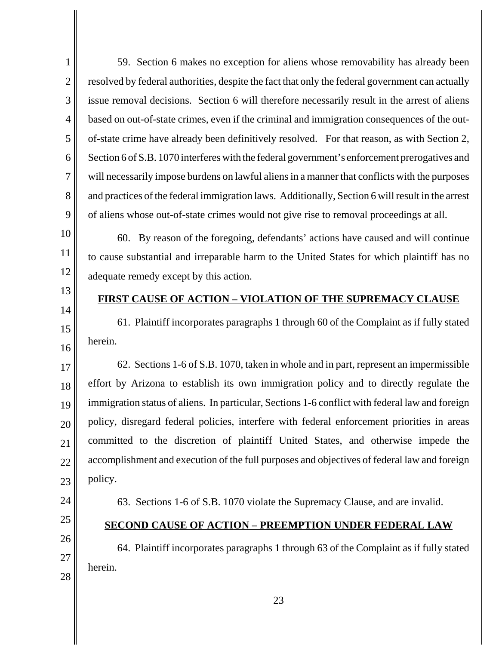3 4 6 8 Section 6 of S.B. 1070 interferes with the federal government's enforcement prerogatives and will necessarily impose burdens on lawful aliens in a manner that conflicts with the purposes and practices of the federal immigration laws. Additionally, Section 6 will result in the arrest 59. Section 6 makes no exception for aliens whose removability has already been resolved by federal authorities, despite the fact that only the federal government can actually issue removal decisions. Section 6 will therefore necessarily result in the arrest of aliens based on out-of-state crimes, even if the criminal and immigration consequences of the outof-state crime have already been definitively resolved. For that reason, as with Section 2, of aliens whose out-of-state crimes would not give rise to removal proceedings at all.

60. By reason of the foregoing, defendants' actions have caused and will continue to cause substantial and irreparable harm to the United States for which plaintiff has no adequate remedy except by this action.

# 13 14

15

16

1

2

5

7

9

10

11

12

## **FIRST CAUSE OF ACTION – VIOLATION OF THE SUPREMACY CLAUSE**

61. Plaintiff incorporates paragraphs 1 through 60 of the Complaint as if fully stated herein.

17 18 19 20 21 22 23 62. Sections 1-6 of S.B. 1070, taken in whole and in part, represent an impermissible effort by Arizona to establish its own immigration policy and to directly regulate the immigration status of aliens. In particular, Sections 1-6 conflict with federal law and foreign policy, disregard federal policies, interfere with federal enforcement priorities in areas committed to the discretion of plaintiff United States, and otherwise impede the accomplishment and execution of the full purposes and objectives of federal law and foreign policy.

- 24
- 25
- 26

27

28

# **SECOND CAUSE OF ACTION – PREEMPTION UNDER FEDERAL LAW**

63. Sections 1-6 of S.B. 1070 violate the Supremacy Clause, and are invalid.

64. Plaintiff incorporates paragraphs 1 through 63 of the Complaint as if fully stated herein.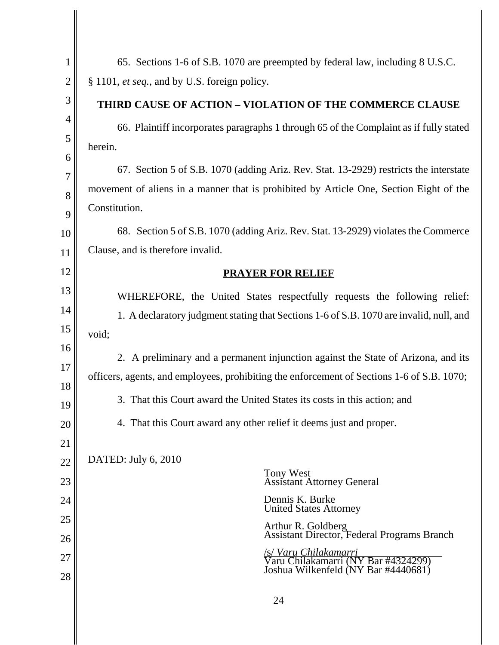| $\mathbf{1}$   | 65. Sections 1-6 of S.B. 1070 are preempted by federal law, including 8 U.S.C.                    |  |
|----------------|---------------------------------------------------------------------------------------------------|--|
| $\overline{2}$ | § 1101, et seq., and by U.S. foreign policy.                                                      |  |
| 3              | <b>THIRD CAUSE OF ACTION - VIOLATION OF THE COMMERCE CLAUSE</b>                                   |  |
| $\overline{4}$ | 66. Plaintiff incorporates paragraphs 1 through 65 of the Complaint as if fully stated            |  |
| 5              | herein.                                                                                           |  |
| 6<br>7         | 67. Section 5 of S.B. 1070 (adding Ariz. Rev. Stat. 13-2929) restricts the interstate             |  |
| 8              | movement of aliens in a manner that is prohibited by Article One, Section Eight of the            |  |
| 9              | Constitution.                                                                                     |  |
| 10             | 68. Section 5 of S.B. 1070 (adding Ariz. Rev. Stat. 13-2929) violates the Commerce                |  |
| 11             | Clause, and is therefore invalid.                                                                 |  |
| 12             | <b>PRAYER FOR RELIEF</b>                                                                          |  |
| 13             | WHEREFORE, the United States respectfully requests the following relief:                          |  |
| 14             | 1. A declaratory judgment stating that Sections 1-6 of S.B. 1070 are invalid, null, and           |  |
| 15             | void;                                                                                             |  |
| 16<br>17       | 2. A preliminary and a permanent injunction against the State of Arizona, and its                 |  |
| 18             | officers, agents, and employees, prohibiting the enforcement of Sections 1-6 of S.B. 1070;        |  |
| 19             | 3. That this Court award the United States its costs in this action; and                          |  |
| 20             | 4. That this Court award any other relief it deems just and proper.                               |  |
| 21             |                                                                                                   |  |
| 22             | DATED: July 6, 2010<br>Tony West                                                                  |  |
| 23             | <b>Assistant Attorney General</b>                                                                 |  |
| 24             | Dennis K. Burke<br><b>United States Attorney</b>                                                  |  |
| 25             | Arthur R. Goldberg<br>Assistant Director, Federal Programs Branch                                 |  |
| 26<br>27       |                                                                                                   |  |
| 28             | S Varu Chilakamarri<br>Varu Chilakamarri (NY Bar #4324299)<br>Joshua Wilkenfeld (NY Bar #4440681) |  |
|                | 24                                                                                                |  |
|                |                                                                                                   |  |

 $\begin{array}{c} \hline \end{array}$